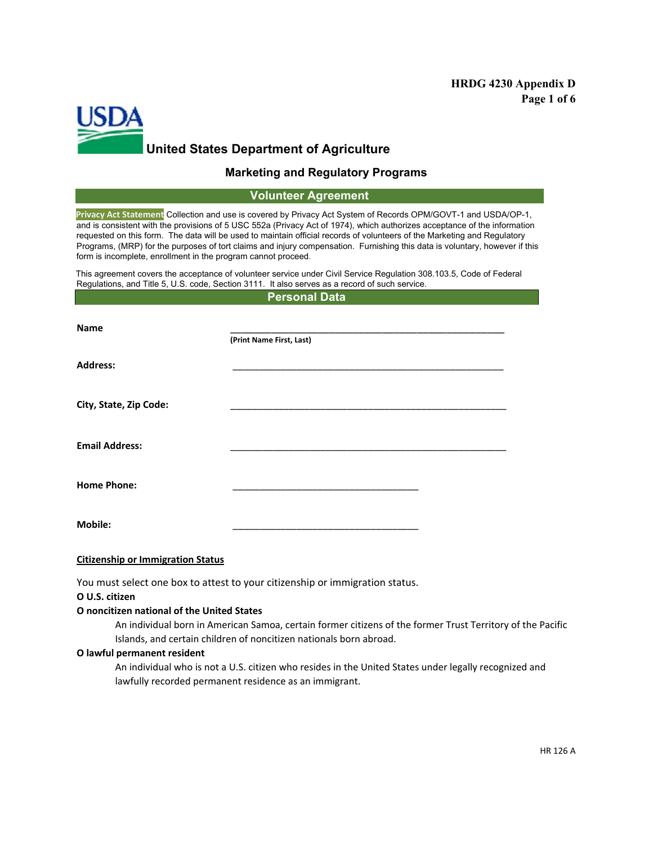## **HRDG 4230 Appendix D Page 1 of 6**



### **Marketing and Regulatory Programs**

### **Volunteer Agreement**

**Privacy Act Statement** Collection and use is covered by Privacy Act System of Records OPM/GOVT-1 and USDA/OP-1, and is consistent with the provisions of 5 USC 552a (Privacy Act of 1974), which authorizes acceptance of the information requested on this form. The data will be used to maintain official records of volunteers of the Marketing and Regulatory Programs, (MRP) for the purposes of tort claims and injury compensation. Furnishing this data is voluntary, however if this form is incomplete, enrollment in the program cannot proceed.

This agreement covers the acceptance of volunteer service under Civil Service Regulation 308.103.5, Code of Federal Regulations, and Title 5, U.S. code, Section 3111. It also serves as a record of such service.

**Personal Data**

| <b>Name</b>            | (Print Name First, Last) |  |
|------------------------|--------------------------|--|
| <b>Address:</b>        |                          |  |
| City, State, Zip Code: |                          |  |
| <b>Email Address:</b>  |                          |  |
| <b>Home Phone:</b>     |                          |  |
| <b>Mobile:</b>         |                          |  |

#### **Citizenship or Immigration Status**

You must select one box to attest to your citizenship or immigration status.

**Ο U.S. citizen** 

#### **Ο noncitizen national of the United States**

An individual born in American Samoa, certain former citizens of the former Trust Territory of the Pacific Islands, and certain children of noncitizen nationals born abroad.

#### **Ο lawful permanent resident**

An individual who is not a U.S. citizen who resides in the United States under legally recognized and lawfully recorded permanent residence as an immigrant.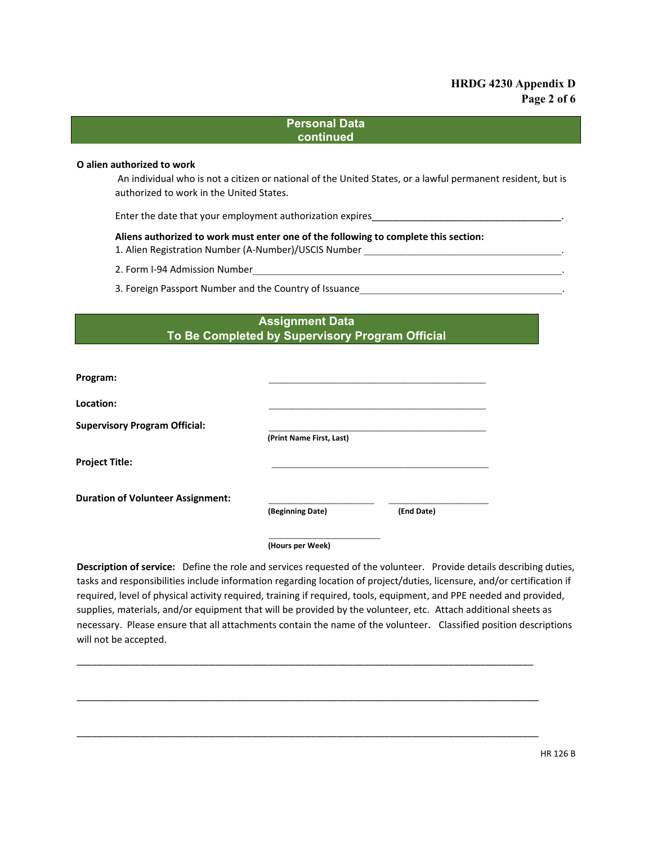## **HRDG 4230 Appendix D Page 2 of 6**

### **Personal Data continued**

### **Ο alien authorized to work**

An individual who is not a citizen or national of the United States, or a lawful permanent resident, but is authorized to work in the United States.

Enter the date that your employment authorization expires

**Aliens authorized to work must enter one of the following to complete this section:**

- 1. Alien Registration Number (A-Number)/USCIS Number
- 2. Form I-94 Admission Number
- 3. Foreign Passport Number and the Country of Issuance

# **Assignment Data To Be Completed by Supervisory Program Official**

| Program:                                 |                          |            |
|------------------------------------------|--------------------------|------------|
| Location:                                |                          |            |
| <b>Supervisory Program Official:</b>     | (Print Name First, Last) |            |
| <b>Project Title:</b>                    |                          |            |
| <b>Duration of Volunteer Assignment:</b> | (Beginning Date)         | (End Date) |
|                                          | (Hours per Week)         |            |

**Description of service:** Define the role and services requested of the volunteer. Provide details describing duties, tasks and responsibilities include information regarding location of project/duties, licensure, and/or certification if required, level of physical activity required, training if required, tools, equipment, and PPE needed and provided, supplies, materials, and/or equipment that will be provided by the volunteer, etc. Attach additional sheets as necessary. Please ensure that all attachments contain the name of the volunteer. Classified position descriptions will not be accepted.

\_\_\_\_\_\_\_\_\_\_\_\_\_\_\_\_\_\_\_\_\_\_\_\_\_\_\_\_\_\_\_\_\_\_\_\_\_\_\_\_\_\_\_\_\_\_\_\_\_\_\_\_\_\_\_\_\_\_\_\_\_\_\_\_\_\_\_\_\_\_\_\_\_\_\_\_\_\_\_\_\_\_\_\_\_\_

\_\_\_\_\_\_\_\_\_\_\_\_\_\_\_\_\_\_\_\_\_\_\_\_\_\_\_\_\_\_\_\_\_\_\_\_\_\_\_\_\_\_\_\_\_\_\_\_\_\_\_\_\_\_\_\_\_\_\_\_\_\_\_\_\_\_\_\_\_\_\_\_\_\_\_\_\_\_\_\_\_\_\_\_\_\_\_

\_\_\_\_\_\_\_\_\_\_\_\_\_\_\_\_\_\_\_\_\_\_\_\_\_\_\_\_\_\_\_\_\_\_\_\_\_\_\_\_\_\_\_\_\_\_\_\_\_\_\_\_\_\_\_\_\_\_\_\_\_\_\_\_\_\_\_\_\_\_\_\_\_\_\_\_\_\_\_\_\_\_\_\_\_\_\_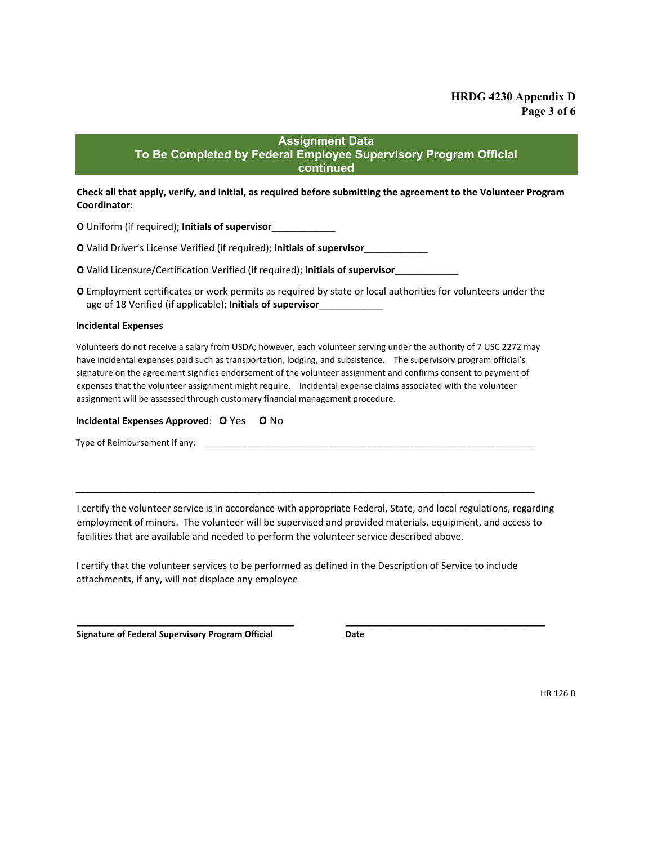## **Assignment Data**

### **To Be Completed by Federal Employee Supervisory Program Official continued**

**Check all that apply, verify, and initial, as required before submitting the agreement to the Volunteer Program Coordinator**:

**Ο** Uniform (if required); **Initials of supervisor**\_\_\_\_\_\_\_\_\_\_\_\_

**Ο** Valid Driver's License Verified (if required); **Initials of supervisor**\_\_\_\_\_\_\_\_\_\_\_\_

**O** Valid Licensure/Certification Verified (if required); Initials of supervisor\_\_\_

**Ο** Employment certificates or work permits as required by state or local authorities for volunteers under the age of 18 Verified (if applicable); **Initials of supervisor**\_\_\_\_\_\_\_\_\_\_\_\_

#### **Incidental Expenses**

Volunteers do not receive a salary from USDA; however, each volunteer serving under the authority of 7 USC 2272 may have incidental expenses paid such as transportation, lodging, and subsistence. The supervisory program official's signature on the agreement signifies endorsement of the volunteer assignment and confirms consent to payment of expenses that the volunteer assignment might require. Incidental expense claims associated with the volunteer assignment will be assessed through customary financial management procedure.

#### **Incidental Expenses Approved**: **Ο** Yes **Ο** No

Type of Reimbursement if any:

I certify the volunteer service is in accordance with appropriate Federal, State, and local regulations, regarding employment of minors. The volunteer will be supervised and provided materials, equipment, and access to facilities that are available and needed to perform the volunteer service described above.

\_\_\_\_\_\_\_\_\_\_\_\_\_\_\_\_\_\_\_\_\_\_\_\_\_\_\_\_\_\_\_\_\_\_\_\_\_\_\_\_\_\_\_\_\_\_\_\_\_\_\_\_\_\_\_\_\_\_\_\_\_\_\_\_\_\_\_\_\_\_\_\_\_\_\_\_\_\_\_\_\_\_\_\_\_\_\_\_\_\_\_\_\_\_\_\_

I certify that the volunteer services to be performed as defined in the Description of Service to include attachments, if any, will not displace any employee.

 $\overline{\phantom{a}}$  , and the contribution of the contribution of the contribution of the contribution of the contribution of the contribution of the contribution of the contribution of the contribution of the contribution of the

**Signature of Federal Supervisory Program Official Date**

HR 126 B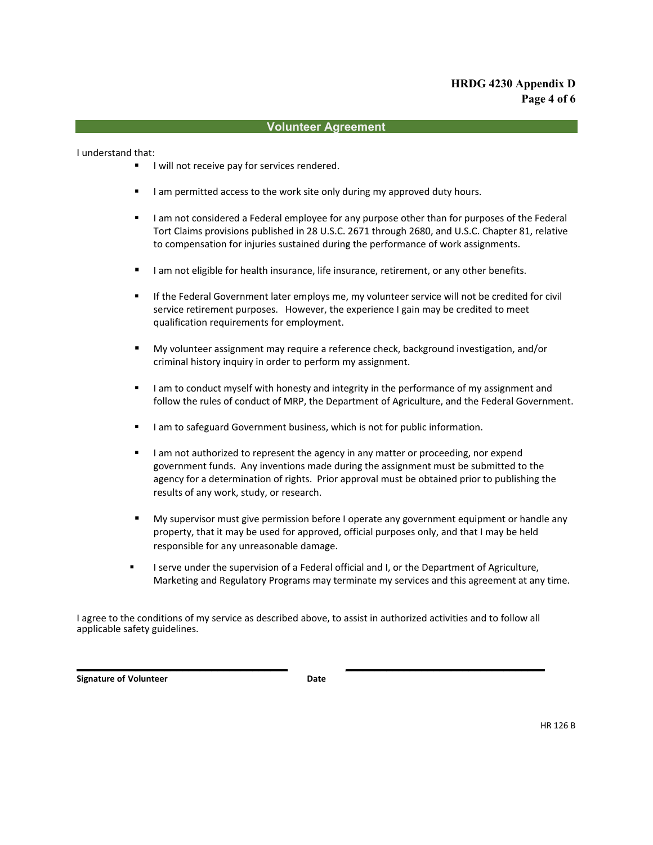# **HRDG 4230 Appendix D Page 4 of 6**

### **Volunteer Agreement**

I understand that:

- I will not receive pay for services rendered.
- I am permitted access to the work site only during my approved duty hours.
- I am not considered a Federal employee for any purpose other than for purposes of the Federal Tort Claims provisions published in 28 U.S.C. 2671 through 2680, and U.S.C. Chapter 81, relative to compensation for injuries sustained during the performance of work assignments.
- I am not eligible for health insurance, life insurance, retirement, or any other benefits.
- **If the Federal Government later employs me, my volunteer service will not be credited for civil** service retirement purposes. However, the experience I gain may be credited to meet qualification requirements for employment.
- My volunteer assignment may require a reference check, background investigation, and/or criminal history inquiry in order to perform my assignment.
- I am to conduct myself with honesty and integrity in the performance of my assignment and follow the rules of conduct of MRP, the Department of Agriculture, and the Federal Government.
- I am to safeguard Government business, which is not for public information.
- I am not authorized to represent the agency in any matter or proceeding, nor expend government funds. Any inventions made during the assignment must be submitted to the agency for a determination of rights. Prior approval must be obtained prior to publishing the results of any work, study, or research.
- My supervisor must give permission before I operate any government equipment or handle any property, that it may be used for approved, official purposes only, and that I may be held responsible for any unreasonable damage.
- I serve under the supervision of a Federal official and I, or the Department of Agriculture, Marketing and Regulatory Programs may terminate my services and this agreement at any time.

I agree to the conditions of my service as described above, to assist in authorized activities and to follow all applicable safety guidelines.

\_\_\_\_\_\_\_\_\_\_\_\_\_\_\_\_\_\_\_\_\_\_\_\_\_\_\_\_\_\_\_\_\_\_\_\_ \_\_\_\_\_\_\_\_\_\_\_\_\_\_\_\_\_\_\_\_\_\_\_\_\_\_\_\_\_\_\_\_\_\_

**Signature of Volunteer Date**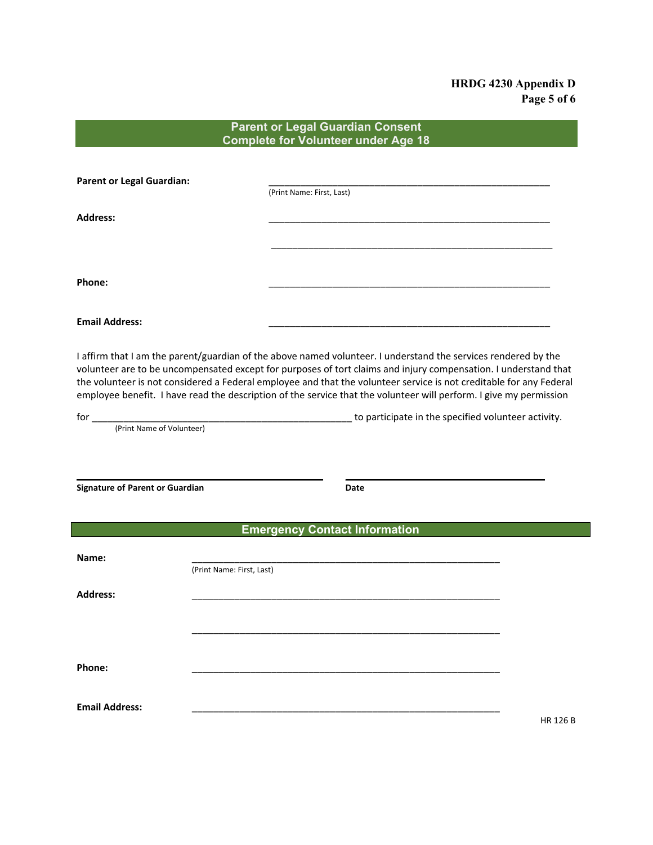## **HRDG 4230 Appendix D Page 5 of 6**

## **Parent or Legal Guardian Consent Complete for Volunteer under Age 18**

| <b>Parent or Legal Guardian:</b> | (Print Name: First, Last) |  |
|----------------------------------|---------------------------|--|
| <b>Address:</b>                  |                           |  |
|                                  |                           |  |
|                                  |                           |  |
| Phone:                           |                           |  |
|                                  |                           |  |
| <b>Email Address:</b>            |                           |  |

I affirm that I am the parent/guardian of the above named volunteer. I understand the services rendered by the volunteer are to be uncompensated except for purposes of tort claims and injury compensation. I understand that the volunteer is not considered a Federal employee and that the volunteer service is not creditable for any Federal employee benefit. I have read the description of the service that the volunteer will perform. I give my permission

for \_\_\_\_\_\_\_\_\_\_\_\_\_\_\_\_\_\_\_\_\_\_\_\_\_\_\_\_\_\_\_\_\_\_\_\_\_\_\_\_\_\_\_\_\_\_\_\_\_ to participate in the specified volunteer activity.

(Print Name of Volunteer)

**Signature of Parent or Guardian Date** 

### **Emergency Contact Information**

\_\_\_\_\_\_\_\_\_\_\_\_\_\_\_\_\_\_\_\_\_\_\_\_\_\_\_\_\_\_\_\_\_\_\_\_\_\_\_\_\_\_ \_\_\_\_\_\_\_\_\_\_\_\_\_\_\_\_\_\_\_\_\_\_\_\_\_\_\_\_\_\_\_\_\_\_

| Name:                 |                           |          |
|-----------------------|---------------------------|----------|
|                       | (Print Name: First, Last) |          |
| <b>Address:</b>       |                           |          |
|                       |                           |          |
|                       |                           |          |
| Phone:                |                           |          |
| <b>Email Address:</b> |                           |          |
|                       |                           | HR 126 B |